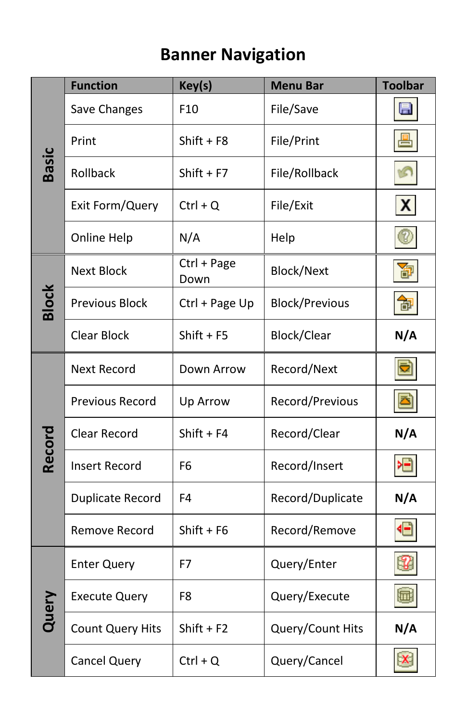## **Banner Navigation**

|              | <b>Function</b>       | Key(s)              | <b>Menu Bar</b>       | <b>Toolbar</b> |
|--------------|-----------------------|---------------------|-----------------------|----------------|
| <b>Basic</b> | Save Changes          | F <sub>10</sub>     | File/Save             | $\blacksquare$ |
|              | Print                 | $Shift + F8$        | File/Print            | 畳              |
|              | Rollback              | $Shift + F7$        | File/Rollback         |                |
|              | Exit Form/Query       | $Ctrl + Q$          | File/Exit             | X              |
|              | Online Help           | N/A                 | Help                  | ً              |
| <b>Block</b> | <b>Next Block</b>     | Ctrl + Page<br>Down | <b>Block/Next</b>     | 囹              |
|              | <b>Previous Block</b> | Ctrl + Page Up      | <b>Block/Previous</b> | 御              |
|              | <b>Clear Block</b>    | $Shift + F5$        | Block/Clear           | N/A            |
| Record       | <b>Next Record</b>    | Down Arrow          | Record/Next           |                |
|              | Previous Record       | Up Arrow            | Record/Previous       |                |
|              | Clear Record          | $Shift + F4$        | Record/Clear          | N/A            |
|              | <b>Insert Record</b>  | F <sub>6</sub>      | Record/Insert         | 相              |
|              | Duplicate Record      | F4                  | Record/Duplicate      | N/A            |
|              | Remove Record         | $Shift + F6$        | Record/Remove         | €              |
| Query        | <b>Enter Query</b>    | F7                  | Query/Enter           | 18             |
|              | <b>Execute Query</b>  | F <sub>8</sub>      | Query/Execute         | 圃              |
|              | Count Query Hits      | $Shift + F2$        | Query/Count Hits      | N/A            |
|              | <b>Cancel Query</b>   | $Ctrl + Q$          | Query/Cancel          |                |